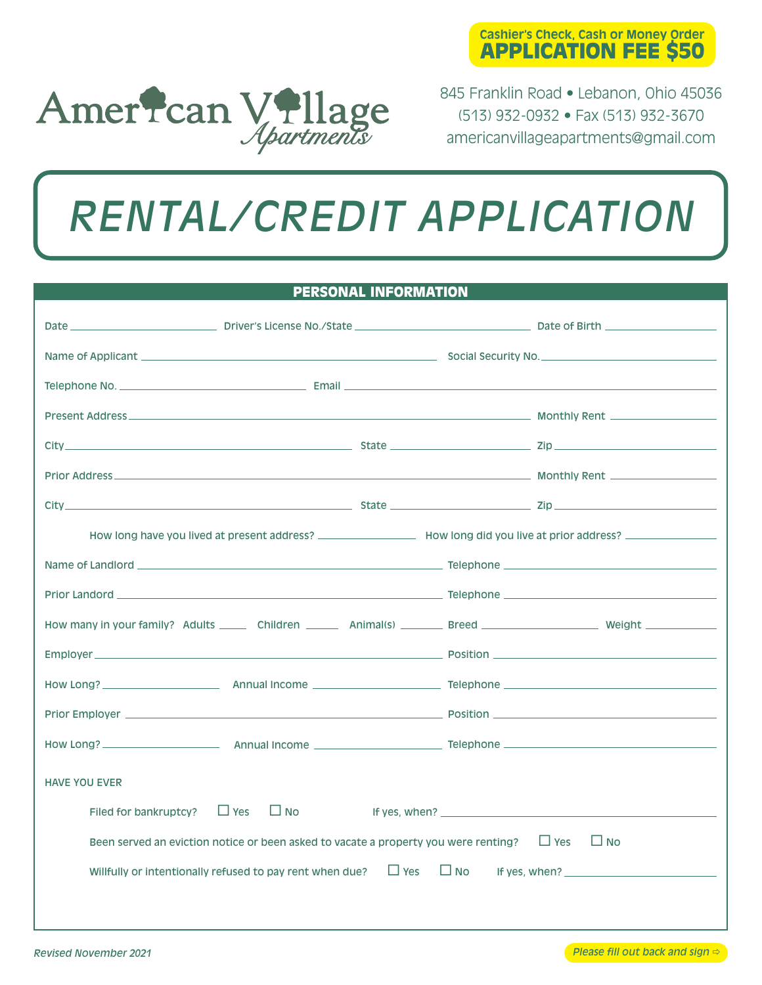



845 Franklin Road • Lebanon, Ohio 45036 (513) 932-0932 • Fax (513) 932-3670 americanvillageapartments@gmail.com

# *RENTAL/CREDIT APPLICATION*

### PERSONAL INFORMATION

| <b>HAVE YOU EVER</b>  |                                                                                                |           |                                                                                                                                                                                                                                   |
|-----------------------|------------------------------------------------------------------------------------------------|-----------|-----------------------------------------------------------------------------------------------------------------------------------------------------------------------------------------------------------------------------------|
| Filed for bankruptcy? | $\Box$ Yes $\Box$ No                                                                           |           | If yes, when? $\frac{1}{2}$ is the set of the set of the set of the set of the set of the set of the set of the set of the set of the set of the set of the set of the set of the set of the set of the set of the set of the set |
|                       | Been served an eviction notice or been asked to vacate a property you were renting? $\Box$ Yes |           | $\Box$ No                                                                                                                                                                                                                         |
|                       |                                                                                                |           |                                                                                                                                                                                                                                   |
|                       | $\Box$ Yes<br>Willfully or intentionally refused to pay rent when due?                         | $\Box$ No | If yes, when? $\sqrt{2}$ is a set of yes, when ?                                                                                                                                                                                  |